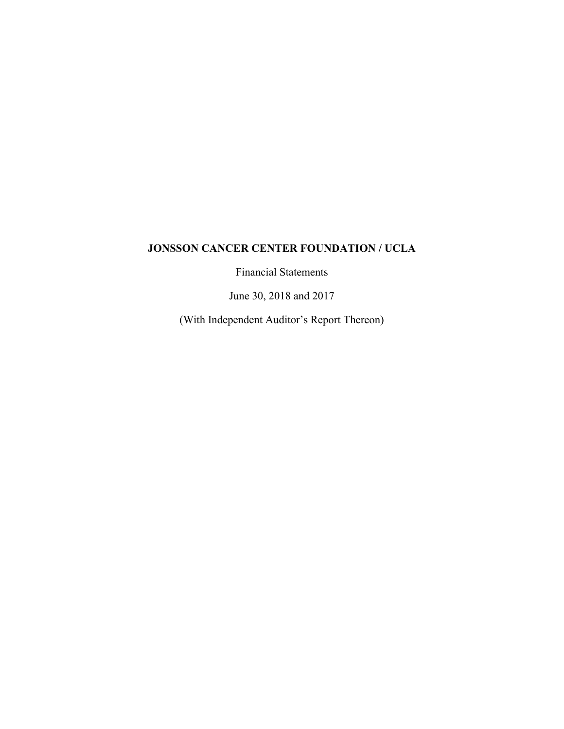Financial Statements

June 30, 2018 and 2017

(With Independent Auditor's Report Thereon)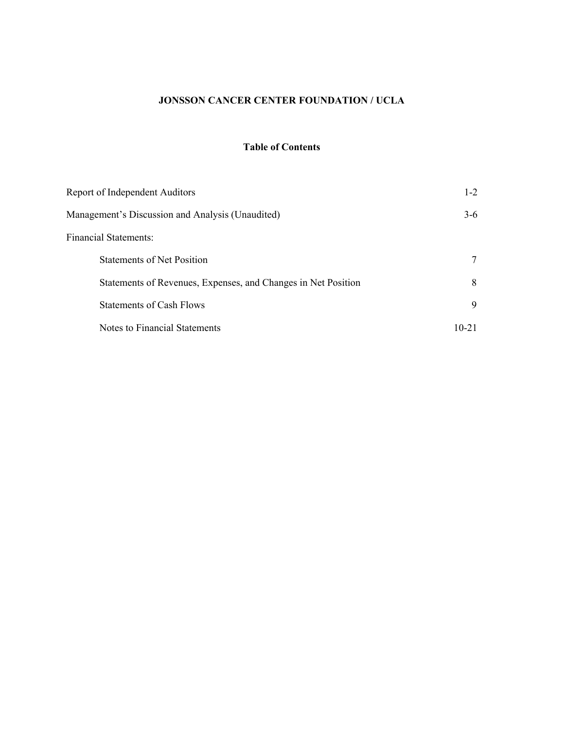# **Table of Contents**

| Report of Independent Auditors                                | $1 - 2$   |
|---------------------------------------------------------------|-----------|
| Management's Discussion and Analysis (Unaudited)              | $3-6$     |
| <b>Financial Statements:</b>                                  |           |
| <b>Statements of Net Position</b>                             |           |
| Statements of Revenues, Expenses, and Changes in Net Position | 8         |
| Statements of Cash Flows                                      | 9         |
| Notes to Financial Statements                                 | $10 - 21$ |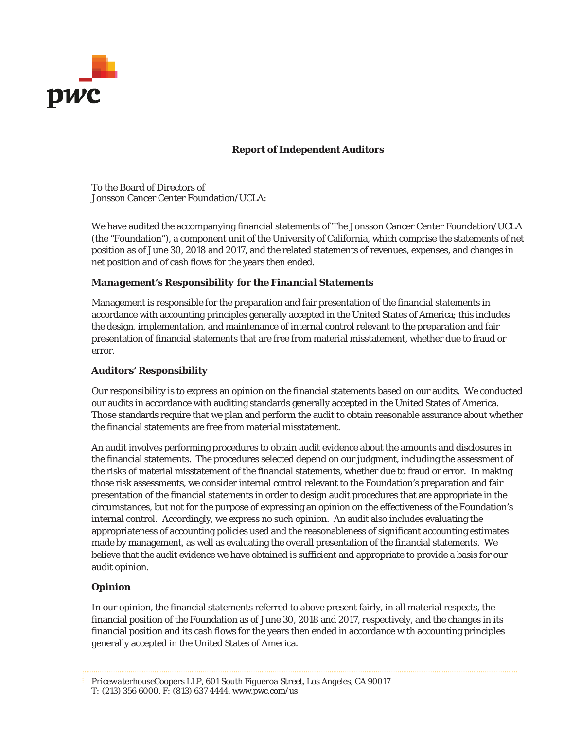

# **Report of Independent Auditors**

To the Board of Directors of Jonsson Cancer Center Foundation/UCLA:

We have audited the accompanying financial statements of The Jonsson Cancer Center Foundation/UCLA (the "Foundation"), a component unit of the University of California, which comprise the statements of net position as of June 30, 2018 and 2017, and the related statements of revenues, expenses, and changes in net position and of cash flows for the years then ended.

# *Management's Responsibility for the Financial Statements*

Management is responsible for the preparation and fair presentation of the financial statements in accordance with accounting principles generally accepted in the United States of America; this includes the design, implementation, and maintenance of internal control relevant to the preparation and fair presentation of financial statements that are free from material misstatement, whether due to fraud or error.

# *Auditors' Responsibility*

Our responsibility is to express an opinion on the financial statements based on our audits. We conducted our audits in accordance with auditing standards generally accepted in the United States of America. Those standards require that we plan and perform the audit to obtain reasonable assurance about whether the financial statements are free from material misstatement.

An audit involves performing procedures to obtain audit evidence about the amounts and disclosures in the financial statements. The procedures selected depend on our judgment, including the assessment of the risks of material misstatement of the financial statements, whether due to fraud or error. In making those risk assessments, we consider internal control relevant to the Foundation's preparation and fair presentation of the financial statements in order to design audit procedures that are appropriate in the circumstances, but not for the purpose of expressing an opinion on the effectiveness of the Foundation's internal control. Accordingly, we express no such opinion. An audit also includes evaluating the appropriateness of accounting policies used and the reasonableness of significant accounting estimates made by management, as well as evaluating the overall presentation of the financial statements. We believe that the audit evidence we have obtained is sufficient and appropriate to provide a basis for our audit opinion.

# *Opinion*

In our opinion, the financial statements referred to above present fairly, in all material respects, the financial position of the Foundation as of June 30, 2018 and 2017, respectively, and the changes in its financial position and its cash flows for the years then ended in accordance with accounting principles generally accepted in the United States of America.

*PricewaterhouseCoopers LLP, 601 South Figueroa Street, Los Angeles, CA 90017 T: (213) 356 6000, F: (813) 637 4444,* www.pwc.com/us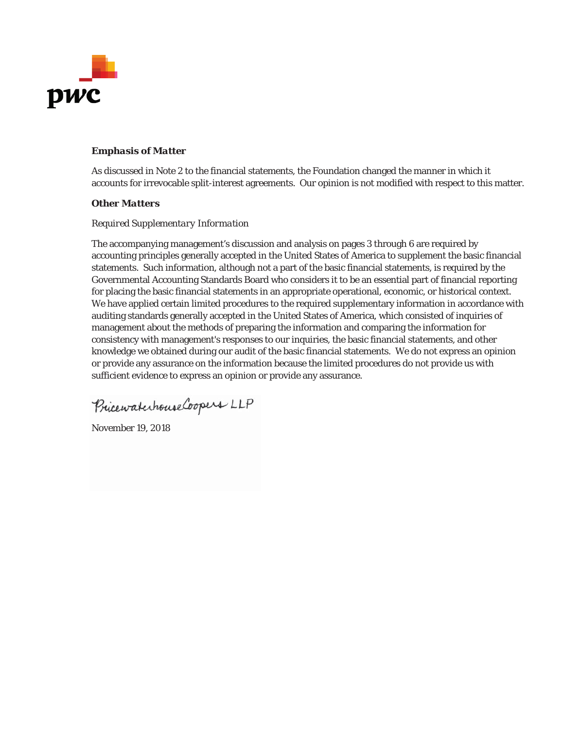

# *Emphasis of Matter*

As discussed in Note 2 to the financial statements, the Foundation changed the manner in which it accounts for irrevocable split-interest agreements. Our opinion is not modified with respect to this matter.

# *Other Matters*

# *Required Supplementary Information*

The accompanying management's discussion and analysis on pages 3 through 6 are required by accounting principles generally accepted in the United States of America to supplement the basic financial statements. Such information, although not a part of the basic financial statements, is required by the Governmental Accounting Standards Board who considers it to be an essential part of financial reporting for placing the basic financial statements in an appropriate operational, economic, or historical context. We have applied certain limited procedures to the required supplementary information in accordance with auditing standards generally accepted in the United States of America, which consisted of inquiries of management about the methods of preparing the information and comparing the information for consistency with management's responses to our inquiries, the basic financial statements, and other knowledge we obtained during our audit of the basic financial statements. We do not express an opinion or provide any assurance on the information because the limited procedures do not provide us with sufficient evidence to express an opinion or provide any assurance.

PricewaterhouseCoopers LLP

November 19, 2018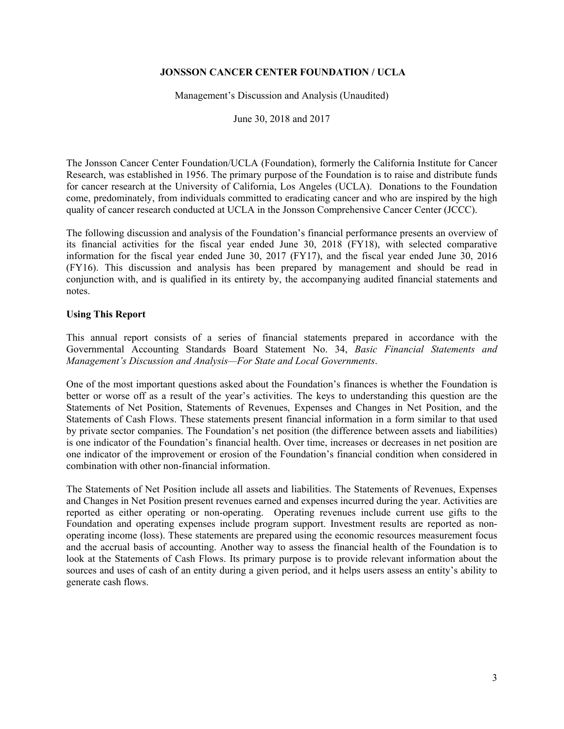Management's Discussion and Analysis (Unaudited)

June 30, 2018 and 2017

The Jonsson Cancer Center Foundation/UCLA (Foundation), formerly the California Institute for Cancer Research, was established in 1956. The primary purpose of the Foundation is to raise and distribute funds for cancer research at the University of California, Los Angeles (UCLA). Donations to the Foundation come, predominately, from individuals committed to eradicating cancer and who are inspired by the high quality of cancer research conducted at UCLA in the Jonsson Comprehensive Cancer Center (JCCC).

The following discussion and analysis of the Foundation's financial performance presents an overview of its financial activities for the fiscal year ended June 30, 2018 (FY18), with selected comparative information for the fiscal year ended June 30, 2017 (FY17), and the fiscal year ended June 30, 2016 (FY16). This discussion and analysis has been prepared by management and should be read in conjunction with, and is qualified in its entirety by, the accompanying audited financial statements and notes.

# **Using This Report**

This annual report consists of a series of financial statements prepared in accordance with the Governmental Accounting Standards Board Statement No. 34, *Basic Financial Statements and Management's Discussion and Analysis—For State and Local Governments*.

One of the most important questions asked about the Foundation's finances is whether the Foundation is better or worse off as a result of the year's activities. The keys to understanding this question are the Statements of Net Position, Statements of Revenues, Expenses and Changes in Net Position, and the Statements of Cash Flows. These statements present financial information in a form similar to that used by private sector companies. The Foundation's net position (the difference between assets and liabilities) is one indicator of the Foundation's financial health. Over time, increases or decreases in net position are one indicator of the improvement or erosion of the Foundation's financial condition when considered in combination with other non-financial information.

The Statements of Net Position include all assets and liabilities. The Statements of Revenues, Expenses and Changes in Net Position present revenues earned and expenses incurred during the year. Activities are reported as either operating or non-operating. Operating revenues include current use gifts to the Foundation and operating expenses include program support. Investment results are reported as nonoperating income (loss). These statements are prepared using the economic resources measurement focus and the accrual basis of accounting. Another way to assess the financial health of the Foundation is to look at the Statements of Cash Flows. Its primary purpose is to provide relevant information about the sources and uses of cash of an entity during a given period, and it helps users assess an entity's ability to generate cash flows.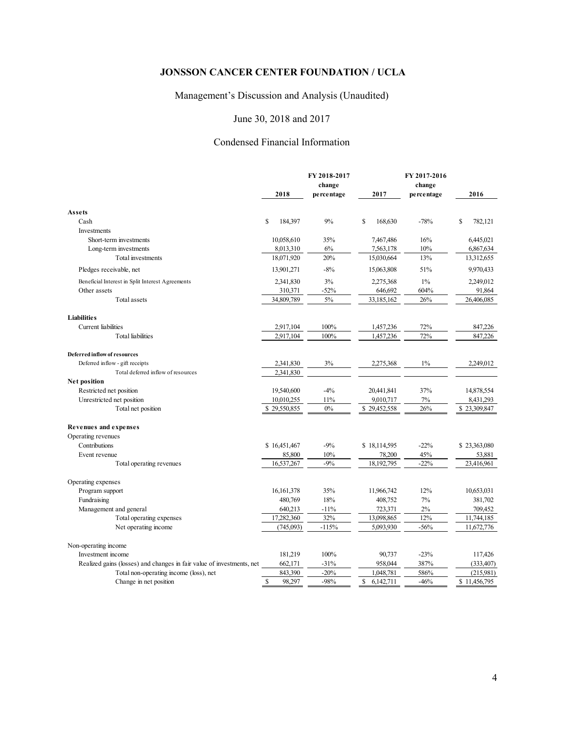# Management's Discussion and Analysis (Unaudited)

# June 30, 2018 and 2017

# Condensed Financial Information

|                                                                       |                        | FY 2018-2017<br>change |                            | FY 2017-2016<br>change |               |
|-----------------------------------------------------------------------|------------------------|------------------------|----------------------------|------------------------|---------------|
|                                                                       | 2018                   | percentage             | 2017                       | percentage             | 2016          |
| Assets                                                                |                        |                        |                            |                        |               |
| Cash                                                                  | S<br>184,397           | 9%                     | <sup>\$</sup><br>168,630   | $-78%$                 | \$<br>782,121 |
| Investments                                                           |                        |                        |                            |                        |               |
| Short-term investments                                                | 10,058,610             | 35%                    | 7,467,486                  | 16%                    | 6,445,021     |
| Long-term investments                                                 | 8,013,310              | 6%                     | 7,563,178                  | 10%                    | 6,867,634     |
| Total investments                                                     | 18,071,920             | 20%                    | 15,030,664                 | 13%                    | 13,312,655    |
| Pledges receivable, net                                               | 13,901,271             | $-8%$                  | 15,063,808                 | 51%                    | 9,970,433     |
| Beneficial Interest in Split Interest Agreements                      | 2,341,830              | 3%                     | 2,275,368                  | $1\%$                  | 2,249,012     |
| Other assets                                                          | 310,371                | $-52%$                 | 646,692                    | 604%                   | 91,864        |
| <b>Total assets</b>                                                   | 34,809,789             | $5\%$                  | 33,185,162                 | 26%                    | 26,406,085    |
| <b>Liabilities</b>                                                    |                        |                        |                            |                        |               |
| Current liabilities                                                   | 2,917,104              | 100%                   | 1,457,236                  | 72%                    | 847,226       |
| <b>Total</b> liabilities                                              | 2,917,104              | 100%                   | 1,457,236                  | 72%                    | 847,226       |
| <b>Deferred inflow of resources</b>                                   |                        |                        |                            |                        |               |
| Deferred inflow - gift receipts                                       | 2,341,830              | 3%                     | 2,275,368                  | $1\%$                  | 2,249,012     |
| Total deferred inflow of resources                                    | 2,341,830              |                        |                            |                        |               |
| Net position                                                          |                        |                        |                            |                        |               |
| Restricted net position                                               | 19,540,600             | $-4%$                  | 20,441,841                 | 37%                    | 14,878,554    |
| Unrestricted net position                                             | 10,010,255             | 11%                    | 9,010,717                  | 7%                     | 8,431,293     |
| Total net position                                                    | \$29,550,855           | $0\%$                  | \$29,452,558               | 26%                    | \$23,309,847  |
| Revenues and expenses                                                 |                        |                        |                            |                        |               |
| Operating revenues                                                    |                        |                        |                            |                        |               |
| Contributions                                                         | \$16,451,467           | $-9%$                  | \$18,114,595               | $-22%$                 | \$23,363,080  |
| Event revenue                                                         | 85,800                 | 10%                    | 78,200                     | 45%                    | 53,881        |
| Total operating revenues                                              | 16,537,267             | $-9%$                  | 18,192,795                 | $-22%$                 | 23,416,961    |
| Operating expenses                                                    |                        |                        |                            |                        |               |
| Program support                                                       | 16, 161, 378           | 35%                    | 11,966,742                 | 12%                    | 10,653,031    |
| Fundraising                                                           | 480,769                | 18%                    | 408,752                    | 7%                     | 381,702       |
| Management and general                                                | 640,213                | $-11%$                 | 723,371                    | 2%                     | 709,452       |
| Total operating expenses                                              | 17,282,360             | 32%                    | 13,098,865                 | 12%                    | 11,744,185    |
| Net operating income                                                  | (745,093)              | $-115%$                | 5,093,930                  | $-56%$                 | 11,672,776    |
| Non-operating income                                                  |                        |                        |                            |                        |               |
| Investment income                                                     | 181,219                | 100%                   | 90,737                     | $-23%$                 | 117,426       |
| Realized gains (losses) and changes in fair value of investments, net | 662,171                | $-31%$                 | 958,044                    | 387%                   | (333, 407)    |
| Total non-operating income (loss), net                                | 843,390                | $-20%$                 | 1,048,781                  | 586%                   | (215,981)     |
| Change in net position                                                | $\mathbb{S}$<br>98,297 | $-98%$                 | $\mathsf{\$}$<br>6,142,711 | $-46%$                 | \$11,456,795  |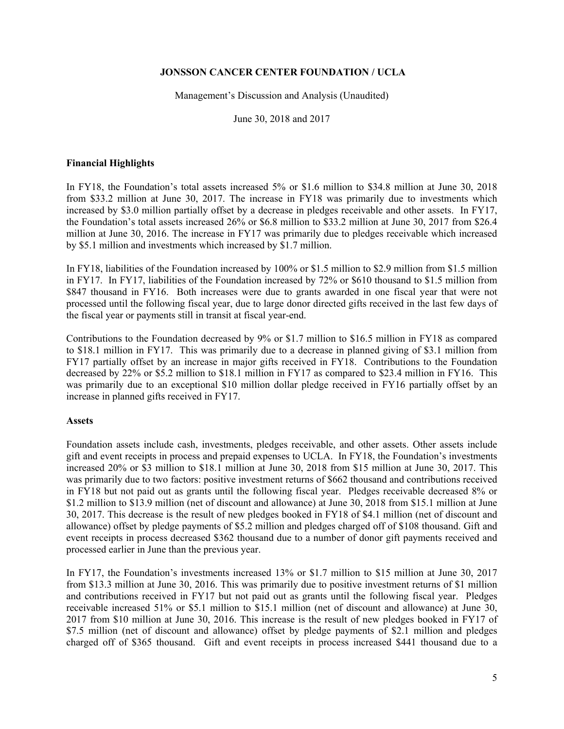Management's Discussion and Analysis (Unaudited)

June 30, 2018 and 2017

# **Financial Highlights**

In FY18, the Foundation's total assets increased 5% or \$1.6 million to \$34.8 million at June 30, 2018 from \$33.2 million at June 30, 2017. The increase in FY18 was primarily due to investments which increased by \$3.0 million partially offset by a decrease in pledges receivable and other assets. In FY17, the Foundation's total assets increased 26% or \$6.8 million to \$33.2 million at June 30, 2017 from \$26.4 million at June 30, 2016. The increase in FY17 was primarily due to pledges receivable which increased by \$5.1 million and investments which increased by \$1.7 million.

In FY18, liabilities of the Foundation increased by 100% or \$1.5 million to \$2.9 million from \$1.5 million in FY17. In FY17, liabilities of the Foundation increased by 72% or \$610 thousand to \$1.5 million from \$847 thousand in FY16. Both increases were due to grants awarded in one fiscal year that were not processed until the following fiscal year, due to large donor directed gifts received in the last few days of the fiscal year or payments still in transit at fiscal year-end.

Contributions to the Foundation decreased by 9% or \$1.7 million to \$16.5 million in FY18 as compared to \$18.1 million in FY17. This was primarily due to a decrease in planned giving of \$3.1 million from FY17 partially offset by an increase in major gifts received in FY18. Contributions to the Foundation decreased by 22% or \$5.2 million to \$18.1 million in FY17 as compared to \$23.4 million in FY16. This was primarily due to an exceptional \$10 million dollar pledge received in FY16 partially offset by an increase in planned gifts received in FY17.

## **Assets**

Foundation assets include cash, investments, pledges receivable, and other assets. Other assets include gift and event receipts in process and prepaid expenses to UCLA. In FY18, the Foundation's investments increased 20% or \$3 million to \$18.1 million at June 30, 2018 from \$15 million at June 30, 2017. This was primarily due to two factors: positive investment returns of \$662 thousand and contributions received in FY18 but not paid out as grants until the following fiscal year. Pledges receivable decreased 8% or \$1.2 million to \$13.9 million (net of discount and allowance) at June 30, 2018 from \$15.1 million at June 30, 2017. This decrease is the result of new pledges booked in FY18 of \$4.1 million (net of discount and allowance) offset by pledge payments of \$5.2 million and pledges charged off of \$108 thousand. Gift and event receipts in process decreased \$362 thousand due to a number of donor gift payments received and processed earlier in June than the previous year.

In FY17, the Foundation's investments increased 13% or \$1.7 million to \$15 million at June 30, 2017 from \$13.3 million at June 30, 2016. This was primarily due to positive investment returns of \$1 million and contributions received in FY17 but not paid out as grants until the following fiscal year. Pledges receivable increased 51% or \$5.1 million to \$15.1 million (net of discount and allowance) at June 30, 2017 from \$10 million at June 30, 2016. This increase is the result of new pledges booked in FY17 of \$7.5 million (net of discount and allowance) offset by pledge payments of \$2.1 million and pledges charged off of \$365 thousand. Gift and event receipts in process increased \$441 thousand due to a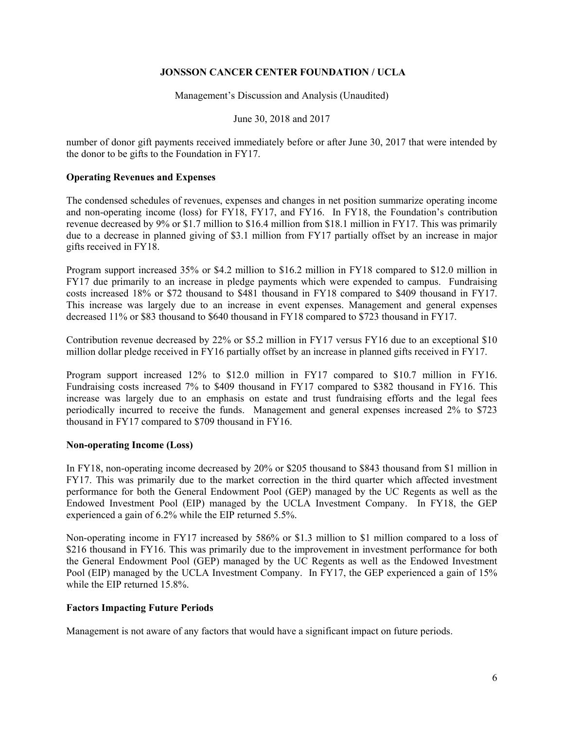Management's Discussion and Analysis (Unaudited)

June 30, 2018 and 2017

number of donor gift payments received immediately before or after June 30, 2017 that were intended by the donor to be gifts to the Foundation in FY17.

# **Operating Revenues and Expenses**

The condensed schedules of revenues, expenses and changes in net position summarize operating income and non-operating income (loss) for FY18, FY17, and FY16. In FY18, the Foundation's contribution revenue decreased by 9% or \$1.7 million to \$16.4 million from \$18.1 million in FY17. This was primarily due to a decrease in planned giving of \$3.1 million from FY17 partially offset by an increase in major gifts received in FY18.

Program support increased 35% or \$4.2 million to \$16.2 million in FY18 compared to \$12.0 million in FY17 due primarily to an increase in pledge payments which were expended to campus. Fundraising costs increased 18% or \$72 thousand to \$481 thousand in FY18 compared to \$409 thousand in FY17. This increase was largely due to an increase in event expenses. Management and general expenses decreased 11% or \$83 thousand to \$640 thousand in FY18 compared to \$723 thousand in FY17.

Contribution revenue decreased by 22% or \$5.2 million in FY17 versus FY16 due to an exceptional \$10 million dollar pledge received in FY16 partially offset by an increase in planned gifts received in FY17.

Program support increased 12% to \$12.0 million in FY17 compared to \$10.7 million in FY16. Fundraising costs increased 7% to \$409 thousand in FY17 compared to \$382 thousand in FY16. This increase was largely due to an emphasis on estate and trust fundraising efforts and the legal fees periodically incurred to receive the funds. Management and general expenses increased 2% to \$723 thousand in FY17 compared to \$709 thousand in FY16.

## **Non-operating Income (Loss)**

In FY18, non-operating income decreased by 20% or \$205 thousand to \$843 thousand from \$1 million in FY17. This was primarily due to the market correction in the third quarter which affected investment performance for both the General Endowment Pool (GEP) managed by the UC Regents as well as the Endowed Investment Pool (EIP) managed by the UCLA Investment Company. In FY18, the GEP experienced a gain of 6.2% while the EIP returned 5.5%.

Non-operating income in FY17 increased by 586% or \$1.3 million to \$1 million compared to a loss of \$216 thousand in FY16. This was primarily due to the improvement in investment performance for both the General Endowment Pool (GEP) managed by the UC Regents as well as the Endowed Investment Pool (EIP) managed by the UCLA Investment Company. In FY17, the GEP experienced a gain of 15% while the EIP returned 15.8%.

## **Factors Impacting Future Periods**

Management is not aware of any factors that would have a significant impact on future periods.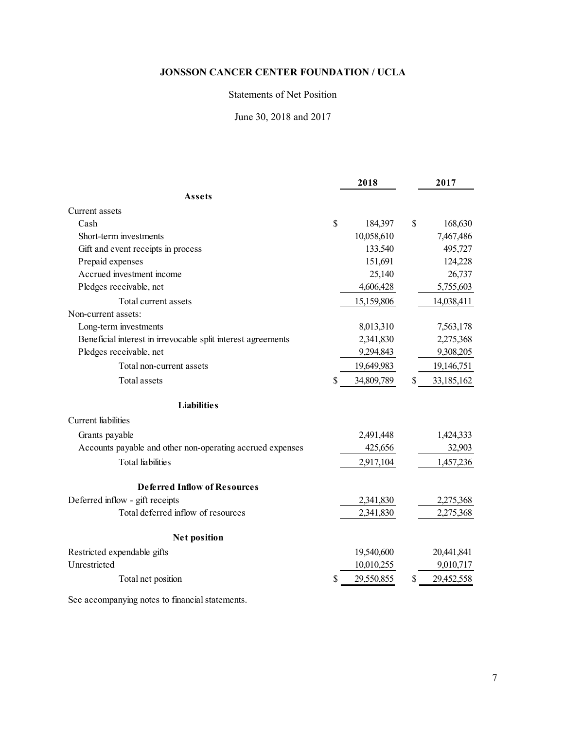# Statements of Net Position

June 30, 2018 and 2017

|                                                              |              | 2018       |              | 2017       |
|--------------------------------------------------------------|--------------|------------|--------------|------------|
| Assets                                                       |              |            |              |            |
| Current assets                                               |              |            |              |            |
| Cash                                                         | $\mathbb{S}$ | 184,397    | $\mathbb{S}$ | 168,630    |
| Short-term investments                                       |              | 10,058,610 |              | 7,467,486  |
| Gift and event receipts in process                           |              | 133,540    |              | 495,727    |
| Prepaid expenses                                             |              | 151,691    |              | 124,228    |
| Accrued investment income                                    |              | 25,140     |              | 26,737     |
| Pledges receivable, net                                      |              | 4,606,428  |              | 5,755,603  |
| Total current assets                                         |              | 15,159,806 |              | 14,038,411 |
| Non-current assets:                                          |              |            |              |            |
| Long-term investments                                        |              | 8,013,310  |              | 7,563,178  |
| Beneficial interest in irrevocable split interest agreements |              | 2,341,830  |              | 2,275,368  |
| Pledges receivable, net                                      |              | 9,294,843  |              | 9,308,205  |
| Total non-current assets                                     |              | 19,649,983 |              | 19,146,751 |
| <b>Total assets</b>                                          | \$           | 34,809,789 | \$           | 33,185,162 |
| <b>Liabilities</b>                                           |              |            |              |            |
| <b>Current</b> liabilities                                   |              |            |              |            |
| Grants payable                                               |              | 2,491,448  |              | 1,424,333  |
| Accounts payable and other non-operating accrued expenses    |              | 425,656    |              | 32,903     |
| <b>Total</b> liabilities                                     |              | 2,917,104  |              | 1,457,236  |
| Deferred Inflow of Resources                                 |              |            |              |            |
| Deferred inflow - gift receipts                              |              | 2,341,830  |              | 2,275,368  |
| Total deferred inflow of resources                           |              | 2,341,830  |              | 2,275,368  |
| <b>Net position</b>                                          |              |            |              |            |
| Restricted expendable gifts                                  |              | 19,540,600 |              | 20,441,841 |
| Unrestricted                                                 |              | 10,010,255 |              | 9,010,717  |
| Total net position                                           |              | 29,550,855 | \$           | 29,452,558 |

See accompanying notes to financial statements.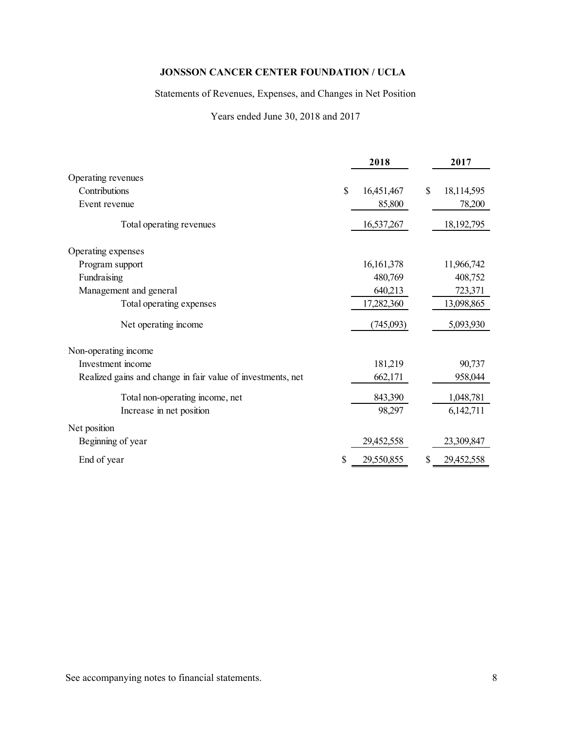Statements of Revenues, Expenses, and Changes in Net Position

Years ended June 30, 2018 and 2017

|                                                             |    | 2018         | 2017             |
|-------------------------------------------------------------|----|--------------|------------------|
| Operating revenues                                          |    |              |                  |
| Contributions                                               | \$ | 16,451,467   | \$<br>18,114,595 |
| Event revenue                                               |    | 85,800       | 78,200           |
| Total operating revenues                                    |    | 16,537,267   | 18,192,795       |
| Operating expenses                                          |    |              |                  |
| Program support                                             |    | 16, 161, 378 | 11,966,742       |
| Fundraising                                                 |    | 480,769      | 408,752          |
| Management and general                                      |    | 640,213      | 723,371          |
| Total operating expenses                                    |    | 17,282,360   | 13,098,865       |
| Net operating income                                        |    | (745,093)    | 5,093,930        |
| Non-operating income                                        |    |              |                  |
| Investment income                                           |    | 181,219      | 90,737           |
| Realized gains and change in fair value of investments, net |    | 662,171      | 958,044          |
| Total non-operating income, net                             |    | 843,390      | 1,048,781        |
| Increase in net position                                    |    | 98,297       | 6,142,711        |
| Net position                                                |    |              |                  |
| Beginning of year                                           |    | 29,452,558   | 23,309,847       |
| End of year                                                 | S  | 29,550,855   | \$<br>29,452,558 |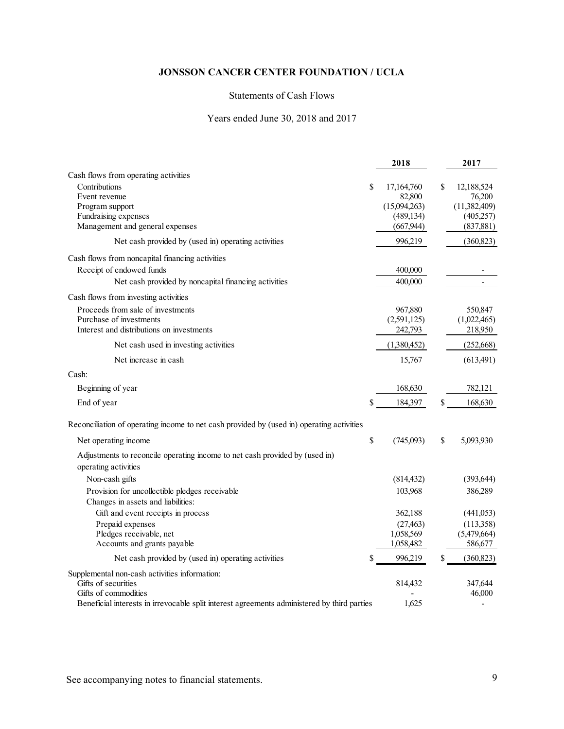# Statements of Cash Flows

# Years ended June 30, 2018 and 2017

|                                                                                                                     | 2018                                     | 2017                                     |
|---------------------------------------------------------------------------------------------------------------------|------------------------------------------|------------------------------------------|
| Cash flows from operating activities<br>Contributions<br>Event revenue                                              | \$<br>17,164,760<br>82,800               | \$<br>12,188,524<br>76,200               |
| Program support<br>Fundraising expenses<br>Management and general expenses                                          | (15,094,263)<br>(489, 134)<br>(667, 944) | (11,382,409)<br>(405, 257)<br>(837, 881) |
| Net cash provided by (used in) operating activities                                                                 | 996,219                                  | (360, 823)                               |
| Cash flows from noncapital financing activities                                                                     |                                          |                                          |
| Receipt of endowed funds                                                                                            | 400,000                                  |                                          |
| Net cash provided by noncapital financing activities                                                                | 400,000                                  | $\overline{\phantom{a}}$                 |
| Cash flows from investing activities                                                                                |                                          |                                          |
| Proceeds from sale of investments                                                                                   | 967,880                                  | 550,847                                  |
| Purchase of investments                                                                                             | (2,591,125)                              | (1,022,465)                              |
| Interest and distributions on investments                                                                           | 242,793                                  | 218,950                                  |
| Net cash used in investing activities                                                                               | (1,380,452)                              | (252, 668)                               |
| Net increase in cash                                                                                                | 15,767                                   | (613, 491)                               |
| Cash:                                                                                                               |                                          |                                          |
| Beginning of year                                                                                                   | 168,630                                  | 782,121                                  |
| End of year                                                                                                         | \$<br>184,397                            | \$<br>168,630                            |
| Reconciliation of operating income to net cash provided by (used in) operating activities                           |                                          |                                          |
| Net operating income                                                                                                | \$<br>(745,093)                          | \$<br>5,093,930                          |
| Adjustments to reconcile operating income to net cash provided by (used in)<br>operating activities                 |                                          |                                          |
| Non-cash gifts                                                                                                      | (814, 432)                               | (393, 644)                               |
| Provision for uncollectible pledges receivable                                                                      | 103,968                                  | 386,289                                  |
| Changes in assets and liabilities:                                                                                  |                                          |                                          |
| Gift and event receipts in process                                                                                  | 362,188                                  | (441,053)                                |
| Prepaid expenses                                                                                                    | (27, 463)                                | (113,358)                                |
| Pledges receivable, net                                                                                             | 1,058,569                                | (5,479,664)                              |
| Accounts and grants payable                                                                                         | 1,058,482                                | 586,677                                  |
| Net cash provided by (used in) operating activities                                                                 | 996,219                                  | \$<br>(360, 823)                         |
| Supplemental non-cash activities information:                                                                       |                                          |                                          |
| Gifts of securities                                                                                                 | 814,432                                  | 347,644                                  |
| Gifts of commodities<br>Beneficial interests in irrevocable split interest agreements administered by third parties | 1,625                                    | 46,000                                   |
|                                                                                                                     |                                          |                                          |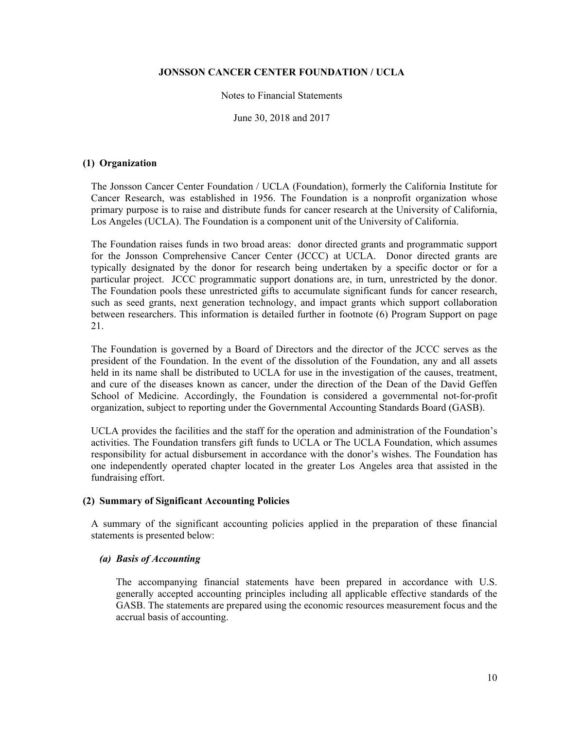### Notes to Financial Statements

June 30, 2018 and 2017

## **(1) Organization**

The Jonsson Cancer Center Foundation / UCLA (Foundation), formerly the California Institute for Cancer Research, was established in 1956. The Foundation is a nonprofit organization whose primary purpose is to raise and distribute funds for cancer research at the University of California, Los Angeles (UCLA). The Foundation is a component unit of the University of California.

The Foundation raises funds in two broad areas: donor directed grants and programmatic support for the Jonsson Comprehensive Cancer Center (JCCC) at UCLA. Donor directed grants are typically designated by the donor for research being undertaken by a specific doctor or for a particular project. JCCC programmatic support donations are, in turn, unrestricted by the donor. The Foundation pools these unrestricted gifts to accumulate significant funds for cancer research, such as seed grants, next generation technology, and impact grants which support collaboration between researchers. This information is detailed further in footnote (6) Program Support on page 21.

The Foundation is governed by a Board of Directors and the director of the JCCC serves as the president of the Foundation. In the event of the dissolution of the Foundation, any and all assets held in its name shall be distributed to UCLA for use in the investigation of the causes, treatment, and cure of the diseases known as cancer, under the direction of the Dean of the David Geffen School of Medicine. Accordingly, the Foundation is considered a governmental not-for-profit organization, subject to reporting under the Governmental Accounting Standards Board (GASB).

UCLA provides the facilities and the staff for the operation and administration of the Foundation's activities. The Foundation transfers gift funds to UCLA or The UCLA Foundation, which assumes responsibility for actual disbursement in accordance with the donor's wishes. The Foundation has one independently operated chapter located in the greater Los Angeles area that assisted in the fundraising effort.

## **(2) Summary of Significant Accounting Policies**

A summary of the significant accounting policies applied in the preparation of these financial statements is presented below:

## *(a) Basis of Accounting*

The accompanying financial statements have been prepared in accordance with U.S. generally accepted accounting principles including all applicable effective standards of the GASB. The statements are prepared using the economic resources measurement focus and the accrual basis of accounting.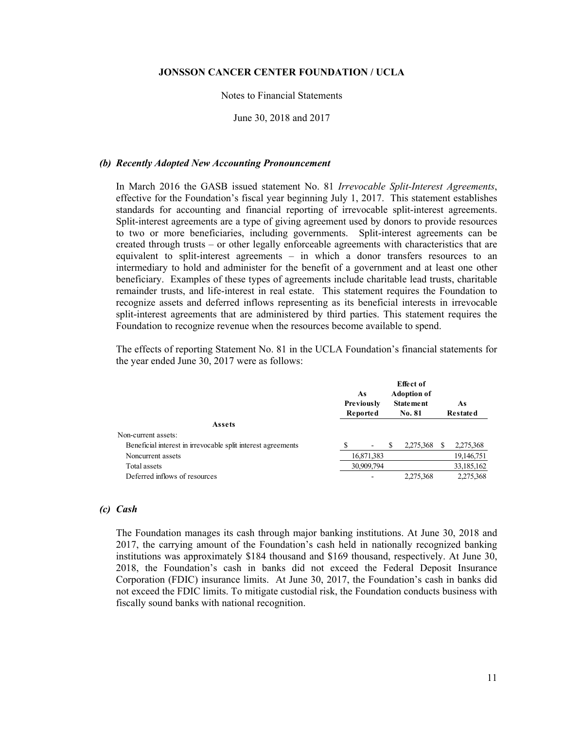## Notes to Financial Statements

June 30, 2018 and 2017

#### *(b) Recently Adopted New Accounting Pronouncement*

In March 2016 the GASB issued statement No. 81 *Irrevocable Split-Interest Agreements*, effective for the Foundation's fiscal year beginning July 1, 2017. This statement establishes standards for accounting and financial reporting of irrevocable split-interest agreements. Split-interest agreements are a type of giving agreement used by donors to provide resources to two or more beneficiaries, including governments. Split-interest agreements can be created through trusts – or other legally enforceable agreements with characteristics that are equivalent to split-interest agreements – in which a donor transfers resources to an intermediary to hold and administer for the benefit of a government and at least one other beneficiary. Examples of these types of agreements include charitable lead trusts, charitable remainder trusts, and life-interest in real estate. This statement requires the Foundation to recognize assets and deferred inflows representing as its beneficial interests in irrevocable split-interest agreements that are administered by third parties. This statement requires the Foundation to recognize revenue when the resources become available to spend.

The effects of reporting Statement No. 81 in the UCLA Foundation's financial statements for the year ended June 30, 2017 were as follows:

|                                                              | As<br>Previously<br>Reported |   | Effect of<br><b>Adoption of</b><br><b>Statement</b><br><b>No. 81</b> | As<br>Restated |
|--------------------------------------------------------------|------------------------------|---|----------------------------------------------------------------------|----------------|
| Assets                                                       |                              |   |                                                                      |                |
| Non-current assets:                                          |                              |   |                                                                      |                |
| Beneficial interest in irrevocable split interest agreements | ۰                            | S | 2,275,368                                                            | 2,275,368      |
| Noncurrent assets                                            | 16,871,383                   |   |                                                                      | 19,146,751     |
| Total assets                                                 | 30,909,794                   |   |                                                                      | 33,185,162     |
| Deferred inflows of resources                                |                              |   | 2,275,368                                                            | 2,275,368      |

### *(c) Cash*

The Foundation manages its cash through major banking institutions. At June 30, 2018 and 2017, the carrying amount of the Foundation's cash held in nationally recognized banking institutions was approximately \$184 thousand and \$169 thousand, respectively. At June 30, 2018, the Foundation's cash in banks did not exceed the Federal Deposit Insurance Corporation (FDIC) insurance limits. At June 30, 2017, the Foundation's cash in banks did not exceed the FDIC limits. To mitigate custodial risk, the Foundation conducts business with fiscally sound banks with national recognition.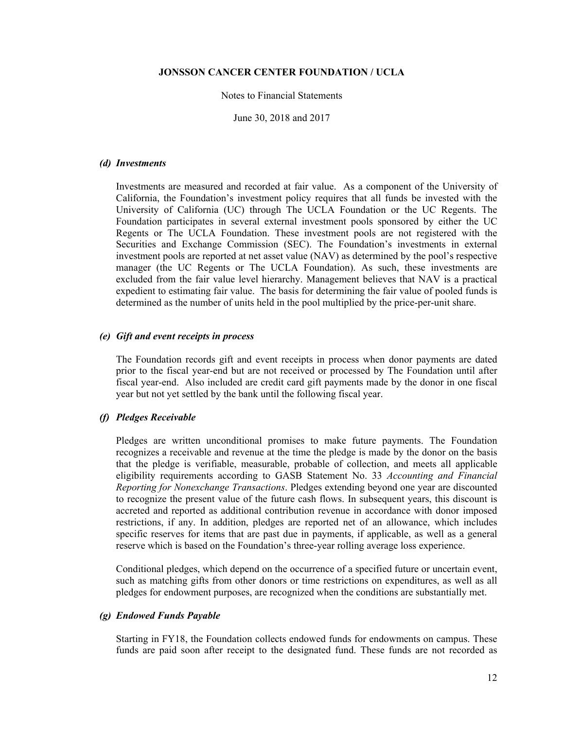#### Notes to Financial Statements

June 30, 2018 and 2017

#### *(d) Investments*

Investments are measured and recorded at fair value. As a component of the University of California, the Foundation's investment policy requires that all funds be invested with the University of California (UC) through The UCLA Foundation or the UC Regents. The Foundation participates in several external investment pools sponsored by either the UC Regents or The UCLA Foundation. These investment pools are not registered with the Securities and Exchange Commission (SEC). The Foundation's investments in external investment pools are reported at net asset value (NAV) as determined by the pool's respective manager (the UC Regents or The UCLA Foundation). As such, these investments are excluded from the fair value level hierarchy. Management believes that NAV is a practical expedient to estimating fair value. The basis for determining the fair value of pooled funds is determined as the number of units held in the pool multiplied by the price-per-unit share.

## *(e) Gift and event receipts in process*

The Foundation records gift and event receipts in process when donor payments are dated prior to the fiscal year-end but are not received or processed by The Foundation until after fiscal year-end. Also included are credit card gift payments made by the donor in one fiscal year but not yet settled by the bank until the following fiscal year.

### *(f) Pledges Receivable*

Pledges are written unconditional promises to make future payments. The Foundation recognizes a receivable and revenue at the time the pledge is made by the donor on the basis that the pledge is verifiable, measurable, probable of collection, and meets all applicable eligibility requirements according to GASB Statement No. 33 *Accounting and Financial Reporting for Nonexchange Transactions*. Pledges extending beyond one year are discounted to recognize the present value of the future cash flows. In subsequent years, this discount is accreted and reported as additional contribution revenue in accordance with donor imposed restrictions, if any. In addition, pledges are reported net of an allowance, which includes specific reserves for items that are past due in payments, if applicable, as well as a general reserve which is based on the Foundation's three-year rolling average loss experience.

Conditional pledges, which depend on the occurrence of a specified future or uncertain event, such as matching gifts from other donors or time restrictions on expenditures, as well as all pledges for endowment purposes, are recognized when the conditions are substantially met.

## *(g) Endowed Funds Payable*

Starting in FY18, the Foundation collects endowed funds for endowments on campus. These funds are paid soon after receipt to the designated fund. These funds are not recorded as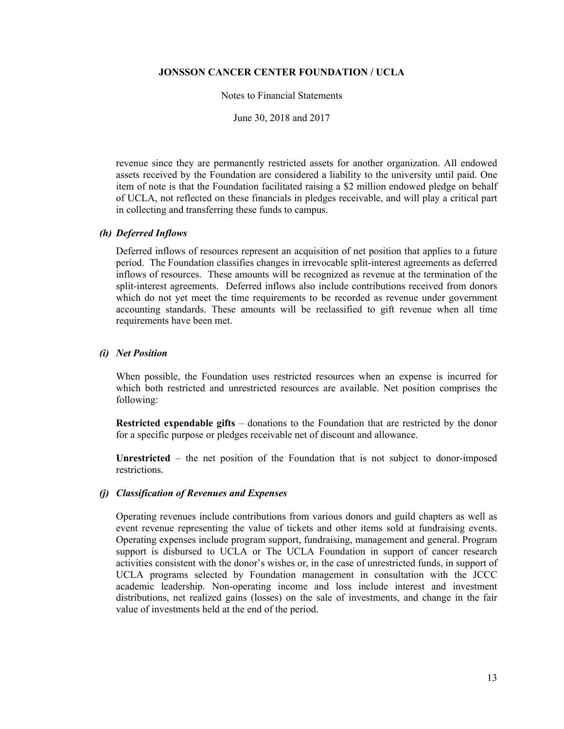#### Notes to Financial Statements

June 30, 2018 and 2017

revenue since they are permanently restricted assets for another organization. All endowed assets received by the Foundation are considered a liability to the university until paid. One item of note is that the Foundation facilitated raising a \$2 million endowed pledge on behalf of UCLA, not reflected on these financials in pledges receivable, and will play a critical part in collecting and transferring these funds to campus.

## *(h) Deferred Inflows*

Deferred inflows of resources represent an acquisition of net position that applies to a future period. The Foundation classifies changes in irrevocable split-interest agreements as deferred inflows of resources. These amounts will be recognized as revenue at the termination of the split-interest agreements. Deferred inflows also include contributions received from donors which do not yet meet the time requirements to be recorded as revenue under government accounting standards. These amounts will be reclassified to gift revenue when all time requirements have been met.

# *(i) Net Position*

When possible, the Foundation uses restricted resources when an expense is incurred for which both restricted and unrestricted resources are available. Net position comprises the following:

**Restricted expendable gifts** *–* donations to the Foundation that are restricted by the donor for a specific purpose or pledges receivable net of discount and allowance.

**Unrestricted** *–* the net position of the Foundation that is not subject to donor-imposed restrictions.

## *(j) Classification of Revenues and Expenses*

Operating revenues include contributions from various donors and guild chapters as well as event revenue representing the value of tickets and other items sold at fundraising events. Operating expenses include program support, fundraising, management and general. Program support is disbursed to UCLA or The UCLA Foundation in support of cancer research activities consistent with the donor's wishes or, in the case of unrestricted funds, in support of UCLA programs selected by Foundation management in consultation with the JCCC academic leadership. Non-operating income and loss include interest and investment distributions, net realized gains (losses) on the sale of investments, and change in the fair value of investments held at the end of the period.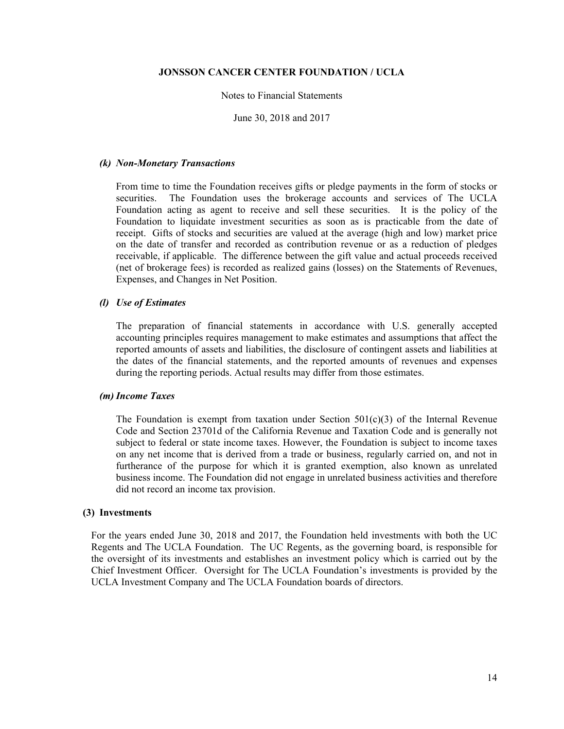## Notes to Financial Statements

June 30, 2018 and 2017

#### *(k) Non-Monetary Transactions*

From time to time the Foundation receives gifts or pledge payments in the form of stocks or securities. The Foundation uses the brokerage accounts and services of The UCLA Foundation acting as agent to receive and sell these securities. It is the policy of the Foundation to liquidate investment securities as soon as is practicable from the date of receipt. Gifts of stocks and securities are valued at the average (high and low) market price on the date of transfer and recorded as contribution revenue or as a reduction of pledges receivable, if applicable. The difference between the gift value and actual proceeds received (net of brokerage fees) is recorded as realized gains (losses) on the Statements of Revenues, Expenses, and Changes in Net Position.

### *(l) Use of Estimates*

The preparation of financial statements in accordance with U.S. generally accepted accounting principles requires management to make estimates and assumptions that affect the reported amounts of assets and liabilities, the disclosure of contingent assets and liabilities at the dates of the financial statements, and the reported amounts of revenues and expenses during the reporting periods. Actual results may differ from those estimates.

### *(m) Income Taxes*

The Foundation is exempt from taxation under Section  $501(c)(3)$  of the Internal Revenue Code and Section 23701d of the California Revenue and Taxation Code and is generally not subject to federal or state income taxes. However, the Foundation is subject to income taxes on any net income that is derived from a trade or business, regularly carried on, and not in furtherance of the purpose for which it is granted exemption, also known as unrelated business income. The Foundation did not engage in unrelated business activities and therefore did not record an income tax provision.

#### **(3) Investments**

For the years ended June 30, 2018 and 2017, the Foundation held investments with both the UC Regents and The UCLA Foundation. The UC Regents, as the governing board, is responsible for the oversight of its investments and establishes an investment policy which is carried out by the Chief Investment Officer. Oversight for The UCLA Foundation's investments is provided by the UCLA Investment Company and The UCLA Foundation boards of directors.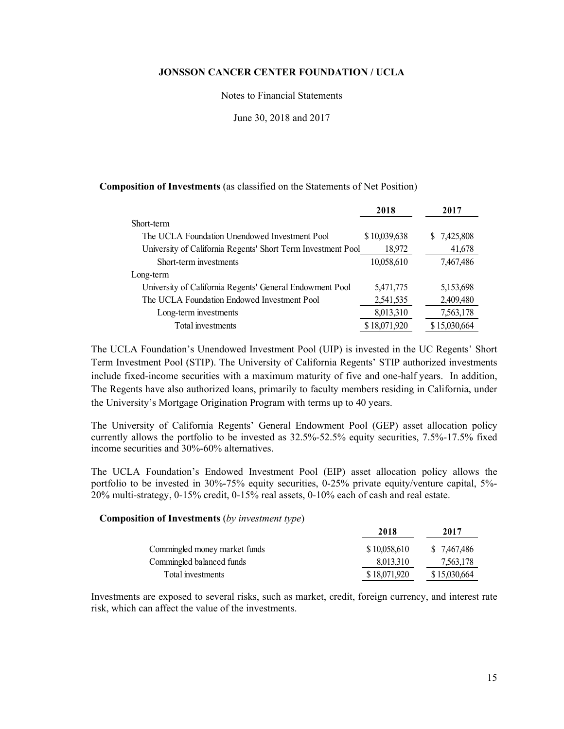#### Notes to Financial Statements

June 30, 2018 and 2017

## **Composition of Investments** (as classified on the Statements of Net Position)

|                                                              | 2018         | 2017         |
|--------------------------------------------------------------|--------------|--------------|
| Short-term                                                   |              |              |
| The UCLA Foundation Unendowed Investment Pool                | \$10,039,638 | \$ 7,425,808 |
| University of California Regents' Short Term Investment Pool | 18,972       | 41,678       |
| Short-term investments                                       | 10,058,610   | 7,467,486    |
| Long-term                                                    |              |              |
| University of California Regents' General Endowment Pool     | 5,471,775    | 5,153,698    |
| The UCLA Foundation Endowed Investment Pool                  | 2,541,535    | 2,409,480    |
| Long-term investments                                        | 8,013,310    | 7,563,178    |
| Total investments                                            | \$18,071,920 | \$15,030,664 |

The UCLA Foundation's Unendowed Investment Pool (UIP) is invested in the UC Regents' Short Term Investment Pool (STIP). The University of California Regents' STIP authorized investments include fixed-income securities with a maximum maturity of five and one-half years. In addition, The Regents have also authorized loans, primarily to faculty members residing in California, under the University's Mortgage Origination Program with terms up to 40 years.

The University of California Regents' General Endowment Pool (GEP) asset allocation policy currently allows the portfolio to be invested as 32.5%-52.5% equity securities, 7.5%-17.5% fixed income securities and 30%-60% alternatives.

The UCLA Foundation's Endowed Investment Pool (EIP) asset allocation policy allows the portfolio to be invested in 30%-75% equity securities, 0-25% private equity/venture capital, 5%- 20% multi-strategy, 0-15% credit, 0-15% real assets, 0-10% each of cash and real estate.

## **Composition of Investments** (*by investment type*)

|                               | 2018         | 2017         |
|-------------------------------|--------------|--------------|
| Commingled money market funds | \$10,058,610 | \$7,467,486  |
| Commingled balanced funds     | 8,013,310    | 7,563,178    |
| Total investments             | \$18,071,920 | \$15,030,664 |

Investments are exposed to several risks, such as market, credit, foreign currency, and interest rate risk, which can affect the value of the investments.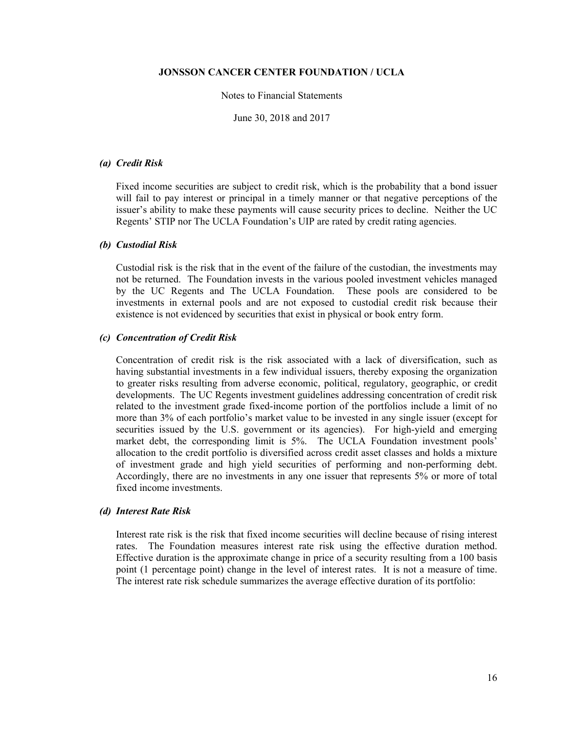#### Notes to Financial Statements

June 30, 2018 and 2017

### *(a) Credit Risk*

Fixed income securities are subject to credit risk, which is the probability that a bond issuer will fail to pay interest or principal in a timely manner or that negative perceptions of the issuer's ability to make these payments will cause security prices to decline. Neither the UC Regents' STIP nor The UCLA Foundation's UIP are rated by credit rating agencies.

#### *(b) Custodial Risk*

Custodial risk is the risk that in the event of the failure of the custodian, the investments may not be returned. The Foundation invests in the various pooled investment vehicles managed by the UC Regents and The UCLA Foundation. These pools are considered to be investments in external pools and are not exposed to custodial credit risk because their existence is not evidenced by securities that exist in physical or book entry form.

#### *(c) Concentration of Credit Risk*

Concentration of credit risk is the risk associated with a lack of diversification, such as having substantial investments in a few individual issuers, thereby exposing the organization to greater risks resulting from adverse economic, political, regulatory, geographic, or credit developments. The UC Regents investment guidelines addressing concentration of credit risk related to the investment grade fixed-income portion of the portfolios include a limit of no more than 3% of each portfolio's market value to be invested in any single issuer (except for securities issued by the U.S. government or its agencies). For high-yield and emerging market debt, the corresponding limit is 5%. The UCLA Foundation investment pools' allocation to the credit portfolio is diversified across credit asset classes and holds a mixture of investment grade and high yield securities of performing and non-performing debt. Accordingly, there are no investments in any one issuer that represents 5% or more of total fixed income investments.

### *(d) Interest Rate Risk*

Interest rate risk is the risk that fixed income securities will decline because of rising interest rates. The Foundation measures interest rate risk using the effective duration method. Effective duration is the approximate change in price of a security resulting from a 100 basis point (1 percentage point) change in the level of interest rates. It is not a measure of time. The interest rate risk schedule summarizes the average effective duration of its portfolio: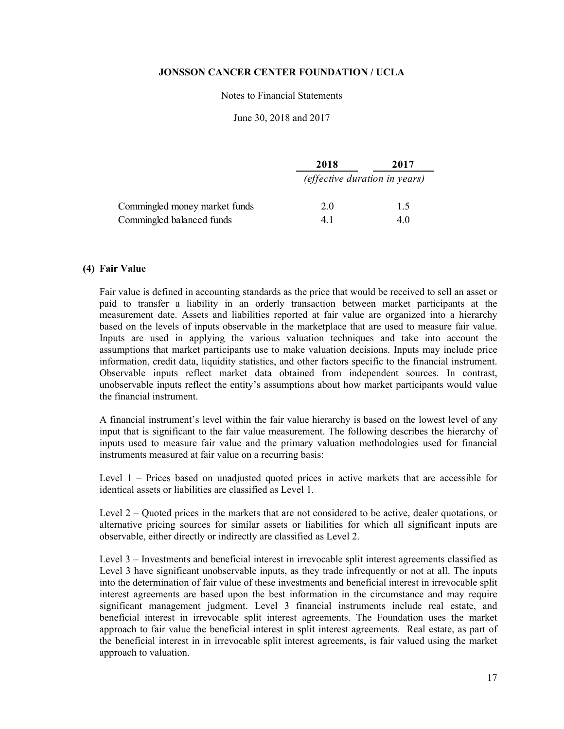## Notes to Financial Statements

### June 30, 2018 and 2017

|                               | 2018 | 2017                                 |
|-------------------------------|------|--------------------------------------|
|                               |      | <i>(effective duration in years)</i> |
| Commingled money market funds | 2.0  | 1.5                                  |
| Commingled balanced funds     | 41   | 4.0                                  |

## **(4) Fair Value**

Fair value is defined in accounting standards as the price that would be received to sell an asset or paid to transfer a liability in an orderly transaction between market participants at the measurement date. Assets and liabilities reported at fair value are organized into a hierarchy based on the levels of inputs observable in the marketplace that are used to measure fair value. Inputs are used in applying the various valuation techniques and take into account the assumptions that market participants use to make valuation decisions. Inputs may include price information, credit data, liquidity statistics, and other factors specific to the financial instrument. Observable inputs reflect market data obtained from independent sources. In contrast, unobservable inputs reflect the entity's assumptions about how market participants would value the financial instrument.

A financial instrument's level within the fair value hierarchy is based on the lowest level of any input that is significant to the fair value measurement. The following describes the hierarchy of inputs used to measure fair value and the primary valuation methodologies used for financial instruments measured at fair value on a recurring basis:

Level 1 – Prices based on unadjusted quoted prices in active markets that are accessible for identical assets or liabilities are classified as Level 1.

Level 2 – Quoted prices in the markets that are not considered to be active, dealer quotations, or alternative pricing sources for similar assets or liabilities for which all significant inputs are observable, either directly or indirectly are classified as Level 2.

Level 3 – Investments and beneficial interest in irrevocable split interest agreements classified as Level 3 have significant unobservable inputs, as they trade infrequently or not at all. The inputs into the determination of fair value of these investments and beneficial interest in irrevocable split interest agreements are based upon the best information in the circumstance and may require significant management judgment. Level 3 financial instruments include real estate, and beneficial interest in irrevocable split interest agreements. The Foundation uses the market approach to fair value the beneficial interest in split interest agreements. Real estate, as part of the beneficial interest in in irrevocable split interest agreements, is fair valued using the market approach to valuation.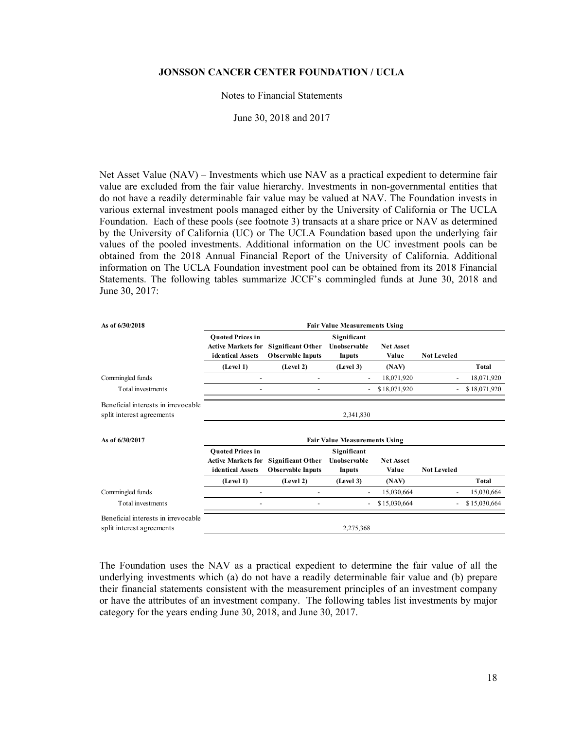#### Notes to Financial Statements

June 30, 2018 and 2017

Net Asset Value (NAV) – Investments which use NAV as a practical expedient to determine fair value are excluded from the fair value hierarchy. Investments in non-governmental entities that do not have a readily determinable fair value may be valued at NAV. The Foundation invests in various external investment pools managed either by the University of California or The UCLA Foundation. Each of these pools (see footnote 3) transacts at a share price or NAV as determined by the University of California (UC) or The UCLA Foundation based upon the underlying fair values of the pooled investments. Additional information on the UC investment pools can be obtained from the 2018 Annual Financial Report of the University of California. Additional information on The UCLA Foundation investment pool can be obtained from its 2018 Financial Statements. The following tables summarize JCCF's commingled funds at June 30, 2018 and June 30, 2017:

| As of 6/30/2018                                                  | <b>Fair Value Measurements Using</b>                                     |                                                      |                                       |                           |                    |              |
|------------------------------------------------------------------|--------------------------------------------------------------------------|------------------------------------------------------|---------------------------------------|---------------------------|--------------------|--------------|
|                                                                  | <b>Ouoted Prices in</b><br><b>Active Markets for</b><br>identical Assets | <b>Significant Other</b><br><b>Observable Inputs</b> | Significant<br>Unobservable<br>Inputs | <b>Net Asset</b><br>Value | <b>Not Leveled</b> |              |
|                                                                  | (Level 1)                                                                | (Level 2)                                            | (Level 3)                             | (NAV)                     |                    | <b>Total</b> |
| Commingled funds                                                 |                                                                          |                                                      |                                       | 18,071,920                |                    | 18,071,920   |
| Total investments                                                |                                                                          |                                                      |                                       | \$18,071,920              |                    | \$18,071,920 |
| Beneficial interests in irrevocable<br>split interest agreements |                                                                          |                                                      | 2,341,830                             |                           |                    |              |
| As of 6/30/2017                                                  |                                                                          |                                                      | <b>Fair Value Measurements Using</b>  |                           |                    |              |
|                                                                  | <b>Ouoted Prices in</b><br><b>Active Markets for</b><br>identical Assets | <b>Significant Other</b><br><b>Observable Inputs</b> | Significant<br>Unobservable<br>Inputs | <b>Net Asset</b><br>Value | <b>Not Leveled</b> |              |
|                                                                  | (Level 1)                                                                | (Level 2)                                            | (Level 3)                             | (NAV)                     |                    | Total        |
| Commingled funds                                                 |                                                                          |                                                      |                                       | 15,030,664                |                    | 15,030,664   |
| Total investments                                                |                                                                          |                                                      |                                       | \$15,030,664              |                    | \$15,030,664 |
| Beneficial interests in irrevocable<br>split interest agreements |                                                                          |                                                      | 2,275,368                             |                           |                    |              |

The Foundation uses the NAV as a practical expedient to determine the fair value of all the underlying investments which (a) do not have a readily determinable fair value and (b) prepare their financial statements consistent with the measurement principles of an investment company or have the attributes of an investment company. The following tables list investments by major category for the years ending June 30, 2018, and June 30, 2017.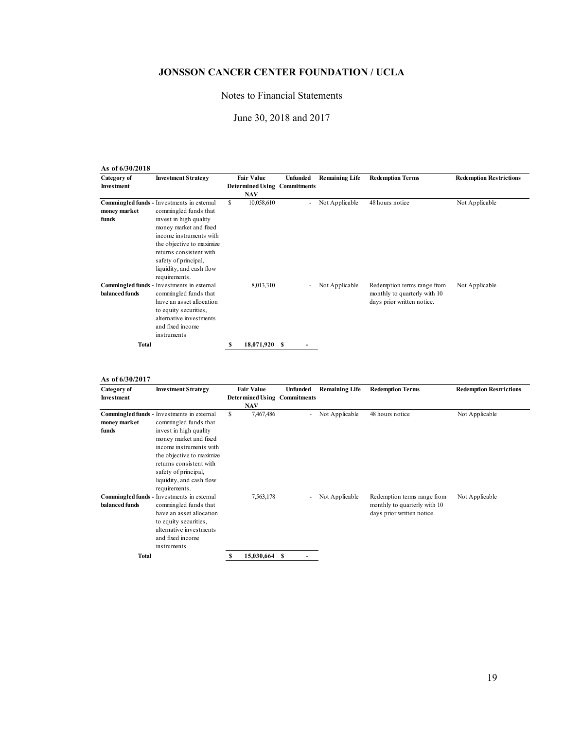# Notes to Financial Statements

# June 30, 2018 and 2017

| As of 6/30/2018                  |                                                                                                                                                                                                                                                                                 |                                 |               |                                                        |                       |                                                                                           |                                |
|----------------------------------|---------------------------------------------------------------------------------------------------------------------------------------------------------------------------------------------------------------------------------------------------------------------------------|---------------------------------|---------------|--------------------------------------------------------|-----------------------|-------------------------------------------------------------------------------------------|--------------------------------|
| Category of<br><b>Investment</b> | <b>Investment Strategy</b>                                                                                                                                                                                                                                                      | <b>Fair Value</b><br><b>NAV</b> |               | <b>Unfunded</b><br><b>Determined Using Commitments</b> | <b>Remaining Life</b> | <b>Redemption Terms</b>                                                                   | <b>Redemption Restrictions</b> |
| money market<br>funds            | Commingled funds - Investments in external<br>commingled funds that<br>invest in high quality<br>money market and fixed<br>income instruments with<br>the objective to maximize<br>returns consistent with<br>safety of principal,<br>liquidity, and cash flow<br>requirements. | S                               | 10,058,610    | $\sim$                                                 | Not Applicable        | 48 hours notice                                                                           | Not Applicable                 |
| balanced funds                   | Commingled funds - Investments in external<br>commingled funds that<br>have an asset allocation<br>to equity securities,<br>alternative investments<br>and fixed income<br>instruments                                                                                          |                                 | 8,013,310     |                                                        | Not Applicable        | Redemption terms range from<br>monthly to quarterly with 10<br>days prior written notice. | Not Applicable                 |
| <b>Total</b>                     |                                                                                                                                                                                                                                                                                 | S                               | 18,071,920 \$ |                                                        |                       |                                                                                           |                                |

**As of 6/30/2017**

| Category of<br><b>Investment</b> | <b>Investment Strategy</b>                                                                                                                                                                                                                                                      | <b>Fair Value</b><br><b>NAV</b> |            | Unfunded<br><b>Determined Using Commitments</b> | <b>Remaining Life</b> | <b>Redemption Terms</b>                                                                   | <b>Redemption Restrictions</b> |
|----------------------------------|---------------------------------------------------------------------------------------------------------------------------------------------------------------------------------------------------------------------------------------------------------------------------------|---------------------------------|------------|-------------------------------------------------|-----------------------|-------------------------------------------------------------------------------------------|--------------------------------|
| money market<br>funds            | Commingled funds - Investments in external<br>commingled funds that<br>invest in high quality<br>money market and fixed<br>income instruments with<br>the objective to maximize<br>returns consistent with<br>safety of principal,<br>liquidity, and cash flow<br>requirements. | \$                              | 7,467,486  | ٠                                               | Not Applicable        | 48 hours notice                                                                           | Not Applicable                 |
| balanced funds                   | Commingled funds - Investments in external<br>commingled funds that<br>have an asset allocation<br>to equity securities,<br>alternative investments<br>and fixed income<br>instruments                                                                                          |                                 | 7,563,178  | ٠                                               | Not Applicable        | Redemption terms range from<br>monthly to quarterly with 10<br>days prior written notice. | Not Applicable                 |
| <b>Total</b>                     |                                                                                                                                                                                                                                                                                 |                                 | 15,030,664 | - S                                             |                       |                                                                                           |                                |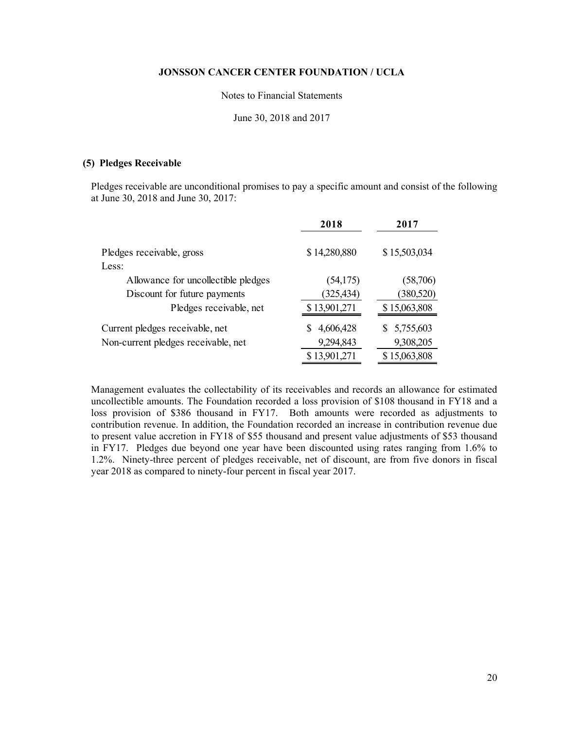#### Notes to Financial Statements

June 30, 2018 and 2017

### **(5) Pledges Receivable**

Pledges receivable are unconditional promises to pay a specific amount and consist of the following at June 30, 2018 and June 30, 2017:

|                                     | 2018         | 2017         |
|-------------------------------------|--------------|--------------|
| Pledges receivable, gross           | \$14,280,880 | \$15,503,034 |
| Less:                               |              |              |
| Allowance for uncollectible pledges | (54,175)     | (58,706)     |
| Discount for future payments        | (325, 434)   | (380, 520)   |
| Pledges receivable, net             | \$13,901,271 | \$15,063,808 |
| Current pledges receivable, net     | 4,606,428    | \$5,755,603  |
| Non-current pledges receivable, net | 9,294,843    | 9,308,205    |
|                                     | \$13,901,271 | \$15,063,808 |

Management evaluates the collectability of its receivables and records an allowance for estimated uncollectible amounts. The Foundation recorded a loss provision of \$108 thousand in FY18 and a loss provision of \$386 thousand in FY17. Both amounts were recorded as adjustments to contribution revenue. In addition, the Foundation recorded an increase in contribution revenue due to present value accretion in FY18 of \$55 thousand and present value adjustments of \$53 thousand in FY17. Pledges due beyond one year have been discounted using rates ranging from 1.6% to 1.2%. Ninety-three percent of pledges receivable, net of discount, are from five donors in fiscal year 2018 as compared to ninety-four percent in fiscal year 2017.